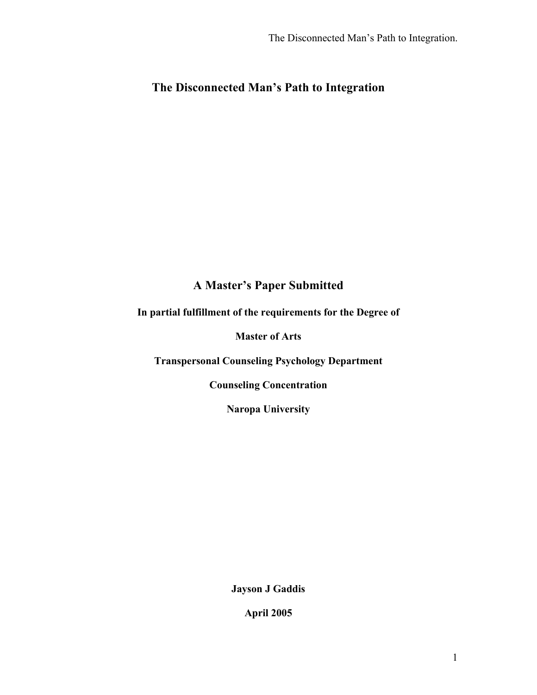# **The Disconnected Man's Path to Integration**

# **A Master's Paper Submitted**

# **In partial fulfillment of the requirements for the Degree of**

# **Master of Arts**

**Transpersonal Counseling Psychology Department**

**Counseling Concentration**

**Naropa University**

**Jayson J Gaddis**

**April 2005**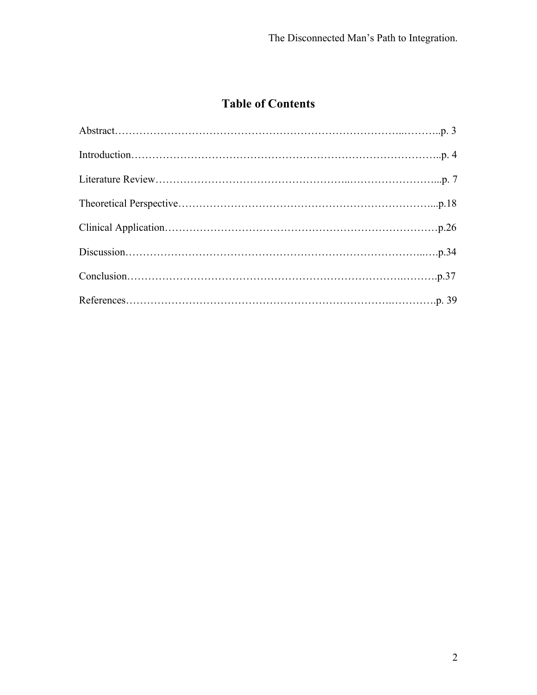# **Table of Contents**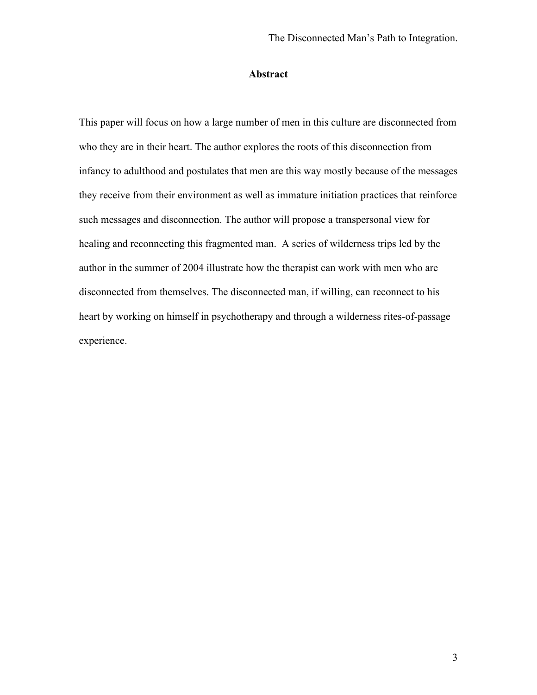# **Abstract**

This paper will focus on how a large number of men in this culture are disconnected from who they are in their heart. The author explores the roots of this disconnection from infancy to adulthood and postulates that men are this way mostly because of the messages they receive from their environment as well as immature initiation practices that reinforce such messages and disconnection. The author will propose a transpersonal view for healing and reconnecting this fragmented man. A series of wilderness trips led by the author in the summer of 2004 illustrate how the therapist can work with men who are disconnected from themselves. The disconnected man, if willing, can reconnect to his heart by working on himself in psychotherapy and through a wilderness rites-of-passage experience.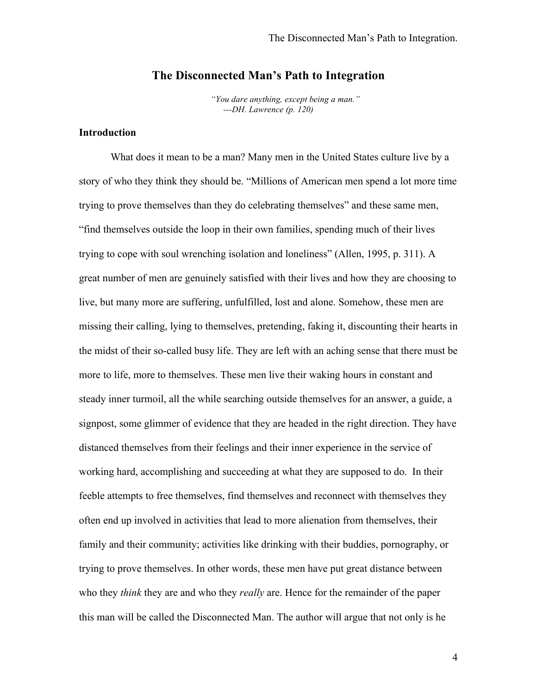# **The Disconnected Man's Path to Integration**

*"You dare anything, except being a man." ---DH. Lawrence (p. 120)*

# **Introduction**

What does it mean to be a man? Many men in the United States culture live by a story of who they think they should be. "Millions of American men spend a lot more time trying to prove themselves than they do celebrating themselves" and these same men, "find themselves outside the loop in their own families, spending much of their lives trying to cope with soul wrenching isolation and loneliness" (Allen, 1995, p. 311). A great number of men are genuinely satisfied with their lives and how they are choosing to live, but many more are suffering, unfulfilled, lost and alone. Somehow, these men are missing their calling, lying to themselves, pretending, faking it, discounting their hearts in the midst of their so-called busy life. They are left with an aching sense that there must be more to life, more to themselves. These men live their waking hours in constant and steady inner turmoil, all the while searching outside themselves for an answer, a guide, a signpost, some glimmer of evidence that they are headed in the right direction. They have distanced themselves from their feelings and their inner experience in the service of working hard, accomplishing and succeeding at what they are supposed to do. In their feeble attempts to free themselves, find themselves and reconnect with themselves they often end up involved in activities that lead to more alienation from themselves, their family and their community; activities like drinking with their buddies, pornography, or trying to prove themselves. In other words, these men have put great distance between who they *think* they are and who they *really* are. Hence for the remainder of the paper this man will be called the Disconnected Man. The author will argue that not only is he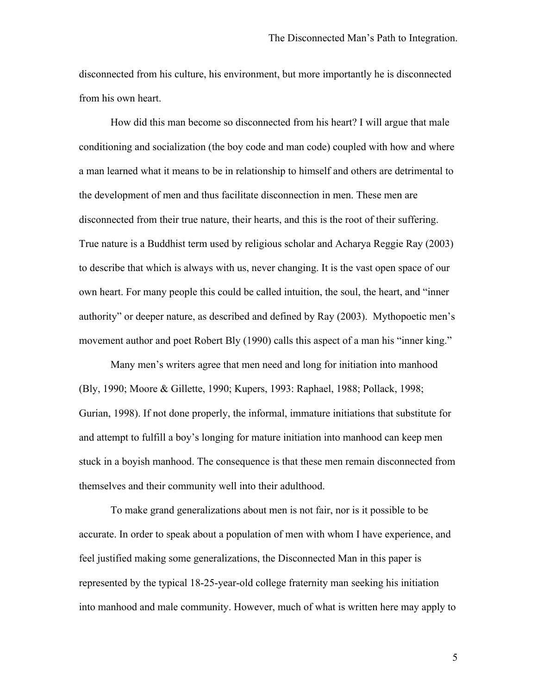disconnected from his culture, his environment, but more importantly he is disconnected from his own heart.

How did this man become so disconnected from his heart? I will argue that male conditioning and socialization (the boy code and man code) coupled with how and where a man learned what it means to be in relationship to himself and others are detrimental to the development of men and thus facilitate disconnection in men. These men are disconnected from their true nature, their hearts, and this is the root of their suffering. True nature is a Buddhist term used by religious scholar and Acharya Reggie Ray (2003) to describe that which is always with us, never changing. It is the vast open space of our own heart. For many people this could be called intuition, the soul, the heart, and "inner authority" or deeper nature, as described and defined by Ray (2003). Mythopoetic men's movement author and poet Robert Bly (1990) calls this aspect of a man his "inner king."

Many men's writers agree that men need and long for initiation into manhood (Bly, 1990; Moore & Gillette, 1990; Kupers, 1993: Raphael, 1988; Pollack, 1998; Gurian, 1998). If not done properly, the informal, immature initiations that substitute for and attempt to fulfill a boy's longing for mature initiation into manhood can keep men stuck in a boyish manhood. The consequence is that these men remain disconnected from themselves and their community well into their adulthood.

To make grand generalizations about men is not fair, nor is it possible to be accurate. In order to speak about a population of men with whom I have experience, and feel justified making some generalizations, the Disconnected Man in this paper is represented by the typical 18-25-year-old college fraternity man seeking his initiation into manhood and male community. However, much of what is written here may apply to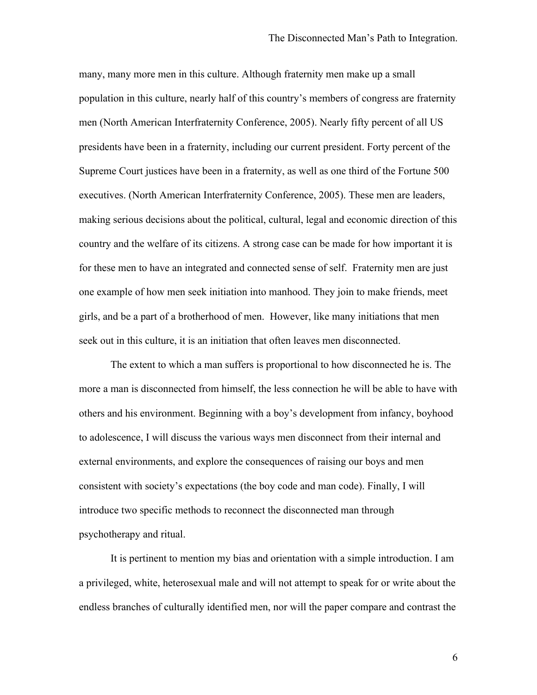many, many more men in this culture. Although fraternity men make up a small population in this culture, nearly half of this country's members of congress are fraternity men (North American Interfraternity Conference, 2005). Nearly fifty percent of all US presidents have been in a fraternity, including our current president. Forty percent of the Supreme Court justices have been in a fraternity, as well as one third of the Fortune 500 executives. (North American Interfraternity Conference, 2005). These men are leaders, making serious decisions about the political, cultural, legal and economic direction of this country and the welfare of its citizens. A strong case can be made for how important it is for these men to have an integrated and connected sense of self. Fraternity men are just one example of how men seek initiation into manhood. They join to make friends, meet girls, and be a part of a brotherhood of men. However, like many initiations that men seek out in this culture, it is an initiation that often leaves men disconnected.

The extent to which a man suffers is proportional to how disconnected he is. The more a man is disconnected from himself, the less connection he will be able to have with others and his environment. Beginning with a boy's development from infancy, boyhood to adolescence, I will discuss the various ways men disconnect from their internal and external environments, and explore the consequences of raising our boys and men consistent with society's expectations (the boy code and man code). Finally, I will introduce two specific methods to reconnect the disconnected man through psychotherapy and ritual.

It is pertinent to mention my bias and orientation with a simple introduction. I am a privileged, white, heterosexual male and will not attempt to speak for or write about the endless branches of culturally identified men, nor will the paper compare and contrast the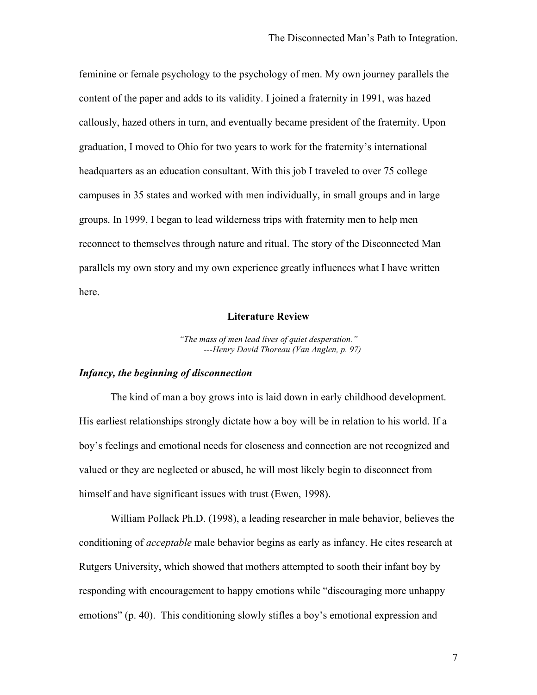feminine or female psychology to the psychology of men. My own journey parallels the content of the paper and adds to its validity. I joined a fraternity in 1991, was hazed callously, hazed others in turn, and eventually became president of the fraternity. Upon graduation, I moved to Ohio for two years to work for the fraternity's international headquarters as an education consultant. With this job I traveled to over 75 college campuses in 35 states and worked with men individually, in small groups and in large groups. In 1999, I began to lead wilderness trips with fraternity men to help men reconnect to themselves through nature and ritual. The story of the Disconnected Man parallels my own story and my own experience greatly influences what I have written here.

# **Literature Review**

*"The mass of men lead lives of quiet desperation." ---Henry David Thoreau (Van Anglen, p. 97)*

# *Infancy, the beginning of disconnection*

The kind of man a boy grows into is laid down in early childhood development. His earliest relationships strongly dictate how a boy will be in relation to his world. If a boy's feelings and emotional needs for closeness and connection are not recognized and valued or they are neglected or abused, he will most likely begin to disconnect from himself and have significant issues with trust (Ewen, 1998).

William Pollack Ph.D. (1998), a leading researcher in male behavior, believes the conditioning of *acceptable* male behavior begins as early as infancy. He cites research at Rutgers University, which showed that mothers attempted to sooth their infant boy by responding with encouragement to happy emotions while "discouraging more unhappy emotions" (p. 40). This conditioning slowly stifles a boy's emotional expression and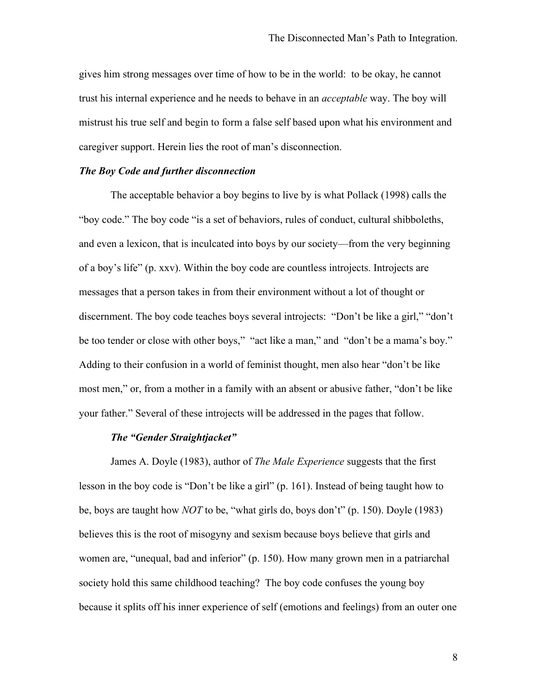gives him strong messages over time of how to be in the world: to be okay, he cannot trust his internal experience and he needs to behave in an *acceptable* way. The boy will mistrust his true self and begin to form a false self based upon what his environment and caregiver support. Herein lies the root of man's disconnection.

## *The Boy Code and further disconnection*

The acceptable behavior a boy begins to live by is what Pollack (1998) calls the "boy code." The boy code "is a set of behaviors, rules of conduct, cultural shibboleths, and even a lexicon, that is inculcated into boys by our society—from the very beginning of a boy's life" (p. xxv). Within the boy code are countless introjects. Introjects are messages that a person takes in from their environment without a lot of thought or discernment. The boy code teaches boys several introjects: "Don't be like a girl," "don't be too tender or close with other boys," "act like a man," and "don't be a mama's boy." Adding to their confusion in a world of feminist thought, men also hear "don't be like most men," or, from a mother in a family with an absent or abusive father, "don't be like your father." Several of these introjects will be addressed in the pages that follow.

# *The "Gender Straightjacket"*

James A. Doyle (1983), author of *The Male Experience* suggests that the first lesson in the boy code is "Don't be like a girl" (p. 161). Instead of being taught how to be, boys are taught how *NOT* to be, "what girls do, boys don't" (p. 150). Doyle (1983) believes this is the root of misogyny and sexism because boys believe that girls and women are, "unequal, bad and inferior" (p. 150). How many grown men in a patriarchal society hold this same childhood teaching? The boy code confuses the young boy because it splits off his inner experience of self (emotions and feelings) from an outer one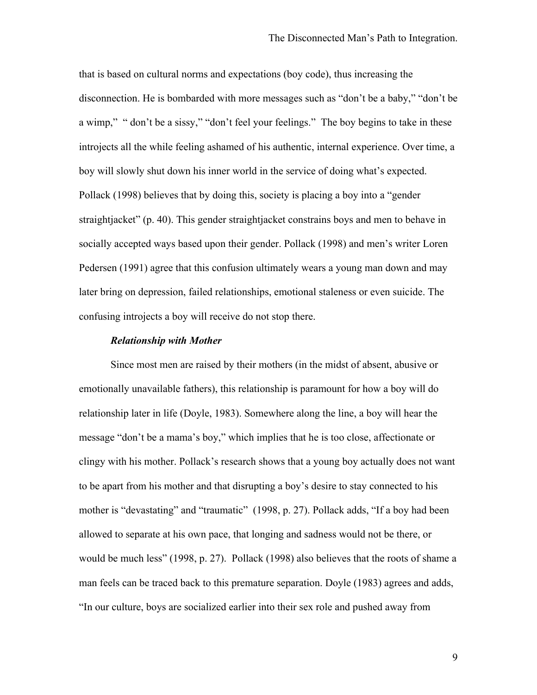that is based on cultural norms and expectations (boy code), thus increasing the disconnection. He is bombarded with more messages such as "don't be a baby," "don't be a wimp," " don't be a sissy," " don't feel your feelings." The boy begins to take in these introjects all the while feeling ashamed of his authentic, internal experience. Over time, a boy will slowly shut down his inner world in the service of doing what's expected. Pollack (1998) believes that by doing this, society is placing a boy into a "gender straightjacket" (p. 40). This gender straightjacket constrains boys and men to behave in socially accepted ways based upon their gender. Pollack (1998) and men's writer Loren Pedersen (1991) agree that this confusion ultimately wears a young man down and may later bring on depression, failed relationships, emotional staleness or even suicide. The confusing introjects a boy will receive do not stop there.

#### *Relationship with Mother*

Since most men are raised by their mothers (in the midst of absent, abusive or emotionally unavailable fathers), this relationship is paramount for how a boy will do relationship later in life (Doyle, 1983). Somewhere along the line, a boy will hear the message "don't be a mama's boy," which implies that he is too close, affectionate or clingy with his mother. Pollack's research shows that a young boy actually does not want to be apart from his mother and that disrupting a boy's desire to stay connected to his mother is "devastating" and "traumatic" (1998, p. 27). Pollack adds, "If a boy had been allowed to separate at his own pace, that longing and sadness would not be there, or would be much less" (1998, p. 27). Pollack (1998) also believes that the roots of shame a man feels can be traced back to this premature separation. Doyle (1983) agrees and adds, "In our culture, boys are socialized earlier into their sex role and pushed away from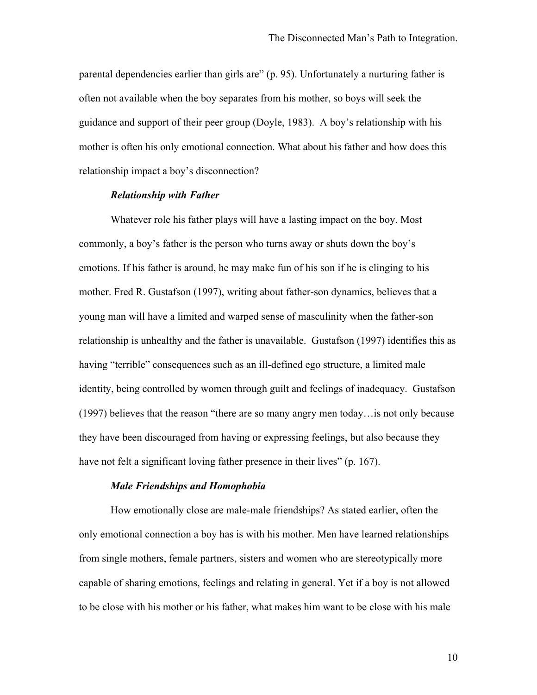parental dependencies earlier than girls are" (p. 95). Unfortunately a nurturing father is often not available when the boy separates from his mother, so boys will seek the guidance and support of their peer group (Doyle, 1983). A boy's relationship with his mother is often his only emotional connection. What about his father and how does this relationship impact a boy's disconnection?

## *Relationship with Father*

Whatever role his father plays will have a lasting impact on the boy. Most commonly, a boy's father is the person who turns away or shuts down the boy's emotions. If his father is around, he may make fun of his son if he is clinging to his mother. Fred R. Gustafson (1997), writing about father-son dynamics, believes that a young man will have a limited and warped sense of masculinity when the father-son relationship is unhealthy and the father is unavailable. Gustafson (1997) identifies this as having "terrible" consequences such as an ill-defined ego structure, a limited male identity, being controlled by women through guilt and feelings of inadequacy. Gustafson (1997) believes that the reason "there are so many angry men today…is not only because they have been discouraged from having or expressing feelings, but also because they have not felt a significant loving father presence in their lives" (p. 167).

## *Male Friendships and Homophobia*

How emotionally close are male-male friendships? As stated earlier, often the only emotional connection a boy has is with his mother. Men have learned relationships from single mothers, female partners, sisters and women who are stereotypically more capable of sharing emotions, feelings and relating in general. Yet if a boy is not allowed to be close with his mother or his father, what makes him want to be close with his male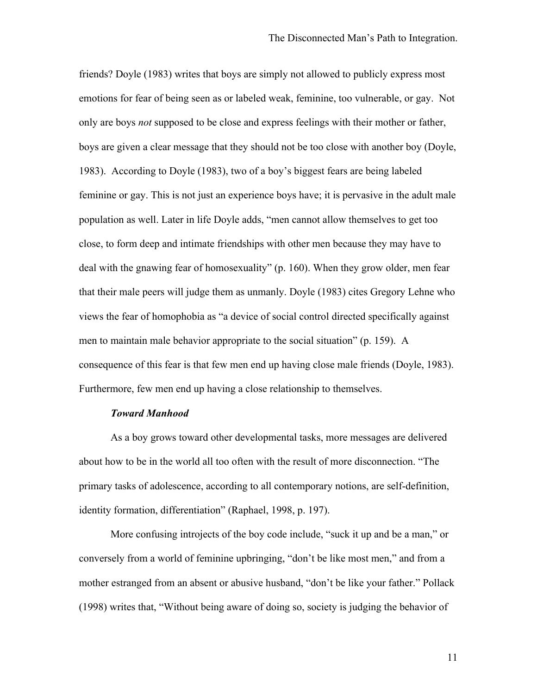friends? Doyle (1983) writes that boys are simply not allowed to publicly express most emotions for fear of being seen as or labeled weak, feminine, too vulnerable, or gay. Not only are boys *not* supposed to be close and express feelings with their mother or father, boys are given a clear message that they should not be too close with another boy (Doyle, 1983). According to Doyle (1983), two of a boy's biggest fears are being labeled feminine or gay. This is not just an experience boys have; it is pervasive in the adult male population as well. Later in life Doyle adds, "men cannot allow themselves to get too close, to form deep and intimate friendships with other men because they may have to deal with the gnawing fear of homosexuality" (p. 160). When they grow older, men fear that their male peers will judge them as unmanly. Doyle (1983) cites Gregory Lehne who views the fear of homophobia as "a device of social control directed specifically against men to maintain male behavior appropriate to the social situation" (p. 159). A consequence of this fear is that few men end up having close male friends (Doyle, 1983). Furthermore, few men end up having a close relationship to themselves.

#### *Toward Manhood*

As a boy grows toward other developmental tasks, more messages are delivered about how to be in the world all too often with the result of more disconnection. "The primary tasks of adolescence, according to all contemporary notions, are self-definition, identity formation, differentiation" (Raphael, 1998, p. 197).

More confusing introjects of the boy code include, "suck it up and be a man," or conversely from a world of feminine upbringing, "don't be like most men," and from a mother estranged from an absent or abusive husband, "don't be like your father." Pollack (1998) writes that, "Without being aware of doing so, society is judging the behavior of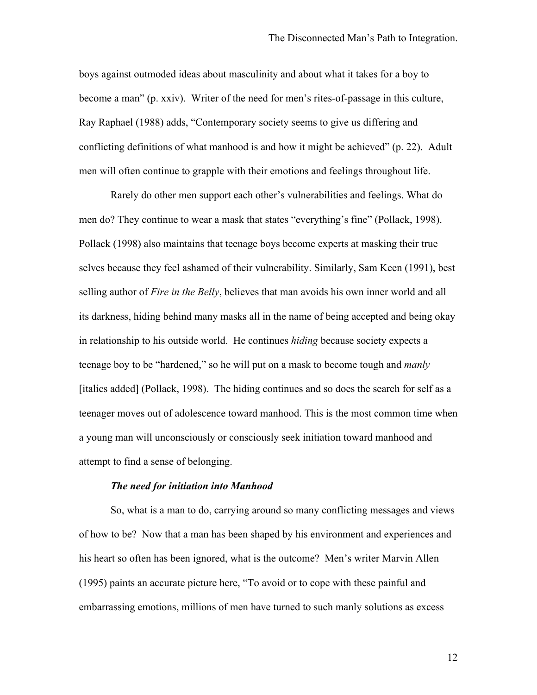boys against outmoded ideas about masculinity and about what it takes for a boy to become a man" (p. xxiv). Writer of the need for men's rites-of-passage in this culture, Ray Raphael (1988) adds, "Contemporary society seems to give us differing and conflicting definitions of what manhood is and how it might be achieved" (p. 22). Adult men will often continue to grapple with their emotions and feelings throughout life.

Rarely do other men support each other's vulnerabilities and feelings. What do men do? They continue to wear a mask that states "everything's fine" (Pollack, 1998). Pollack (1998) also maintains that teenage boys become experts at masking their true selves because they feel ashamed of their vulnerability. Similarly, Sam Keen (1991), best selling author of *Fire in the Belly*, believes that man avoids his own inner world and all its darkness, hiding behind many masks all in the name of being accepted and being okay in relationship to his outside world. He continues *hiding* because society expects a teenage boy to be "hardened," so he will put on a mask to become tough and *manly* [italics added] (Pollack, 1998). The hiding continues and so does the search for self as a teenager moves out of adolescence toward manhood. This is the most common time when a young man will unconsciously or consciously seek initiation toward manhood and attempt to find a sense of belonging.

## *The need for initiation into Manhood*

So, what is a man to do, carrying around so many conflicting messages and views of how to be? Now that a man has been shaped by his environment and experiences and his heart so often has been ignored, what is the outcome? Men's writer Marvin Allen (1995) paints an accurate picture here, "To avoid or to cope with these painful and embarrassing emotions, millions of men have turned to such manly solutions as excess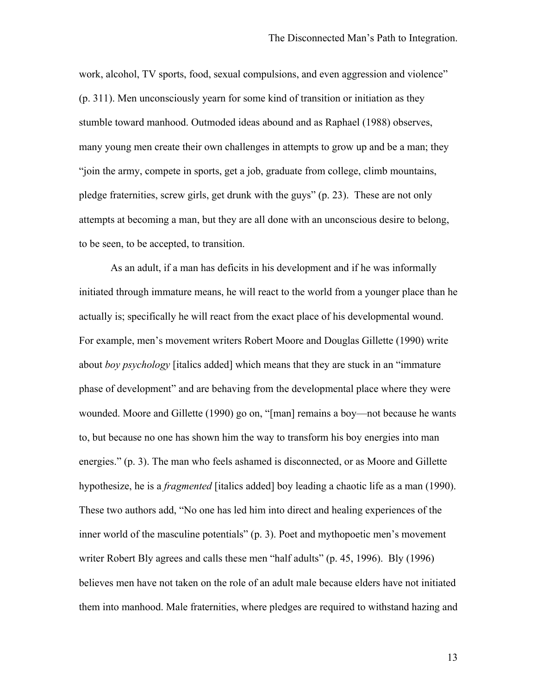work, alcohol, TV sports, food, sexual compulsions, and even aggression and violence" (p. 311). Men unconsciously yearn for some kind of transition or initiation as they stumble toward manhood. Outmoded ideas abound and as Raphael (1988) observes, many young men create their own challenges in attempts to grow up and be a man; they "join the army, compete in sports, get a job, graduate from college, climb mountains, pledge fraternities, screw girls, get drunk with the guys" (p. 23). These are not only attempts at becoming a man, but they are all done with an unconscious desire to belong, to be seen, to be accepted, to transition.

As an adult, if a man has deficits in his development and if he was informally initiated through immature means, he will react to the world from a younger place than he actually is; specifically he will react from the exact place of his developmental wound. For example, men's movement writers Robert Moore and Douglas Gillette (1990) write about *boy psychology* [italics added] which means that they are stuck in an "immature phase of development" and are behaving from the developmental place where they were wounded. Moore and Gillette (1990) go on, "[man] remains a boy—not because he wants to, but because no one has shown him the way to transform his boy energies into man energies." (p. 3). The man who feels ashamed is disconnected, or as Moore and Gillette hypothesize, he is a *fragmented* [italics added] boy leading a chaotic life as a man (1990). These two authors add, "No one has led him into direct and healing experiences of the inner world of the masculine potentials" (p. 3). Poet and mythopoetic men's movement writer Robert Bly agrees and calls these men "half adults" (p. 45, 1996). Bly (1996) believes men have not taken on the role of an adult male because elders have not initiated them into manhood. Male fraternities, where pledges are required to withstand hazing and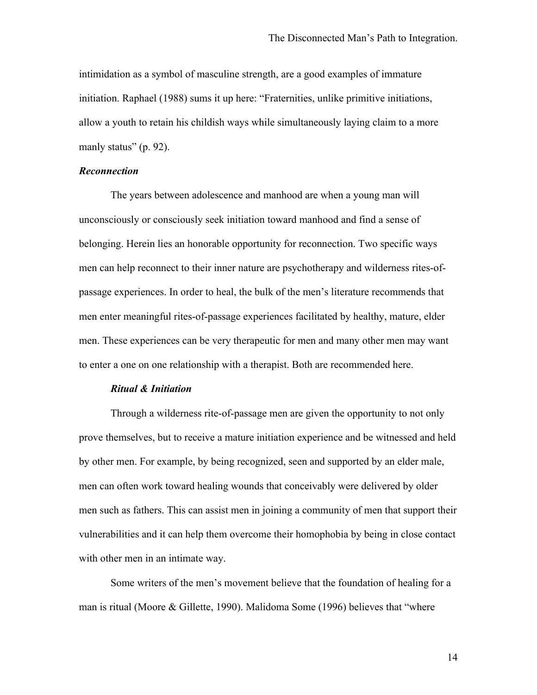intimidation as a symbol of masculine strength, are a good examples of immature initiation. Raphael (1988) sums it up here: "Fraternities, unlike primitive initiations, allow a youth to retain his childish ways while simultaneously laying claim to a more manly status" (p. 92).

# *Reconnection*

The years between adolescence and manhood are when a young man will unconsciously or consciously seek initiation toward manhood and find a sense of belonging. Herein lies an honorable opportunity for reconnection. Two specific ways men can help reconnect to their inner nature are psychotherapy and wilderness rites-ofpassage experiences. In order to heal, the bulk of the men's literature recommends that men enter meaningful rites-of-passage experiences facilitated by healthy, mature, elder men. These experiences can be very therapeutic for men and many other men may want to enter a one on one relationship with a therapist. Both are recommended here.

#### *Ritual & Initiation*

Through a wilderness rite-of-passage men are given the opportunity to not only prove themselves, but to receive a mature initiation experience and be witnessed and held by other men. For example, by being recognized, seen and supported by an elder male, men can often work toward healing wounds that conceivably were delivered by older men such as fathers. This can assist men in joining a community of men that support their vulnerabilities and it can help them overcome their homophobia by being in close contact with other men in an intimate way.

Some writers of the men's movement believe that the foundation of healing for a man is ritual (Moore & Gillette, 1990). Malidoma Some (1996) believes that "where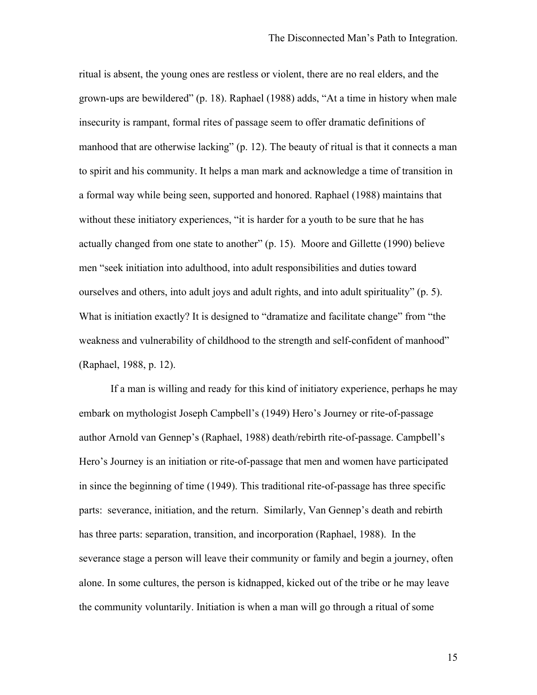ritual is absent, the young ones are restless or violent, there are no real elders, and the grown-ups are bewildered" (p. 18). Raphael (1988) adds, "At a time in history when male insecurity is rampant, formal rites of passage seem to offer dramatic definitions of manhood that are otherwise lacking" (p. 12). The beauty of ritual is that it connects a man to spirit and his community. It helps a man mark and acknowledge a time of transition in a formal way while being seen, supported and honored. Raphael (1988) maintains that without these initiatory experiences, "it is harder for a youth to be sure that he has actually changed from one state to another" (p. 15). Moore and Gillette (1990) believe men "seek initiation into adulthood, into adult responsibilities and duties toward ourselves and others, into adult joys and adult rights, and into adult spirituality" (p. 5). What is initiation exactly? It is designed to "dramatize and facilitate change" from "the weakness and vulnerability of childhood to the strength and self-confident of manhood" (Raphael, 1988, p. 12).

If a man is willing and ready for this kind of initiatory experience, perhaps he may embark on mythologist Joseph Campbell's (1949) Hero's Journey or rite-of-passage author Arnold van Gennep's (Raphael, 1988) death/rebirth rite-of-passage. Campbell's Hero's Journey is an initiation or rite-of-passage that men and women have participated in since the beginning of time (1949). This traditional rite-of-passage has three specific parts: severance, initiation, and the return. Similarly, Van Gennep's death and rebirth has three parts: separation, transition, and incorporation (Raphael, 1988). In the severance stage a person will leave their community or family and begin a journey, often alone. In some cultures, the person is kidnapped, kicked out of the tribe or he may leave the community voluntarily. Initiation is when a man will go through a ritual of some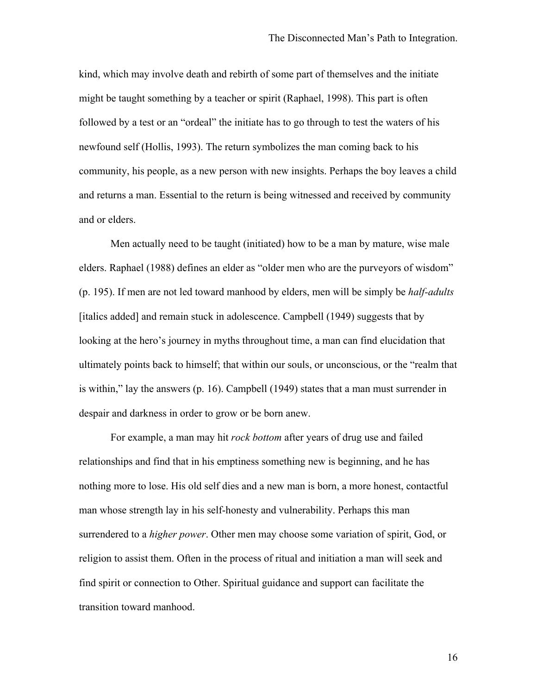kind, which may involve death and rebirth of some part of themselves and the initiate might be taught something by a teacher or spirit (Raphael, 1998). This part is often followed by a test or an "ordeal" the initiate has to go through to test the waters of his newfound self (Hollis, 1993). The return symbolizes the man coming back to his community, his people, as a new person with new insights. Perhaps the boy leaves a child and returns a man. Essential to the return is being witnessed and received by community and or elders.

Men actually need to be taught (initiated) how to be a man by mature, wise male elders. Raphael (1988) defines an elder as "older men who are the purveyors of wisdom" (p. 195). If men are not led toward manhood by elders, men will be simply be *half-adults* [italics added] and remain stuck in adolescence. Campbell (1949) suggests that by looking at the hero's journey in myths throughout time, a man can find elucidation that ultimately points back to himself; that within our souls, or unconscious, or the "realm that is within," lay the answers (p. 16). Campbell (1949) states that a man must surrender in despair and darkness in order to grow or be born anew.

For example, a man may hit *rock bottom* after years of drug use and failed relationships and find that in his emptiness something new is beginning, and he has nothing more to lose. His old self dies and a new man is born, a more honest, contactful man whose strength lay in his self-honesty and vulnerability. Perhaps this man surrendered to a *higher power*. Other men may choose some variation of spirit, God, or religion to assist them. Often in the process of ritual and initiation a man will seek and find spirit or connection to Other. Spiritual guidance and support can facilitate the transition toward manhood.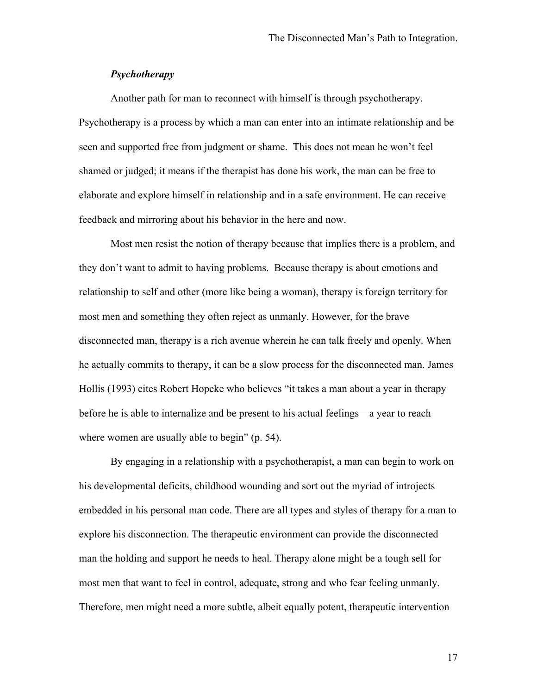# *Psychotherapy*

Another path for man to reconnect with himself is through psychotherapy. Psychotherapy is a process by which a man can enter into an intimate relationship and be seen and supported free from judgment or shame. This does not mean he won't feel shamed or judged; it means if the therapist has done his work, the man can be free to elaborate and explore himself in relationship and in a safe environment. He can receive feedback and mirroring about his behavior in the here and now.

Most men resist the notion of therapy because that implies there is a problem, and they don't want to admit to having problems. Because therapy is about emotions and relationship to self and other (more like being a woman), therapy is foreign territory for most men and something they often reject as unmanly. However, for the brave disconnected man, therapy is a rich avenue wherein he can talk freely and openly. When he actually commits to therapy, it can be a slow process for the disconnected man. James Hollis (1993) cites Robert Hopeke who believes "it takes a man about a year in therapy before he is able to internalize and be present to his actual feelings—a year to reach where women are usually able to begin" (p. 54).

By engaging in a relationship with a psychotherapist, a man can begin to work on his developmental deficits, childhood wounding and sort out the myriad of introjects embedded in his personal man code. There are all types and styles of therapy for a man to explore his disconnection. The therapeutic environment can provide the disconnected man the holding and support he needs to heal. Therapy alone might be a tough sell for most men that want to feel in control, adequate, strong and who fear feeling unmanly. Therefore, men might need a more subtle, albeit equally potent, therapeutic intervention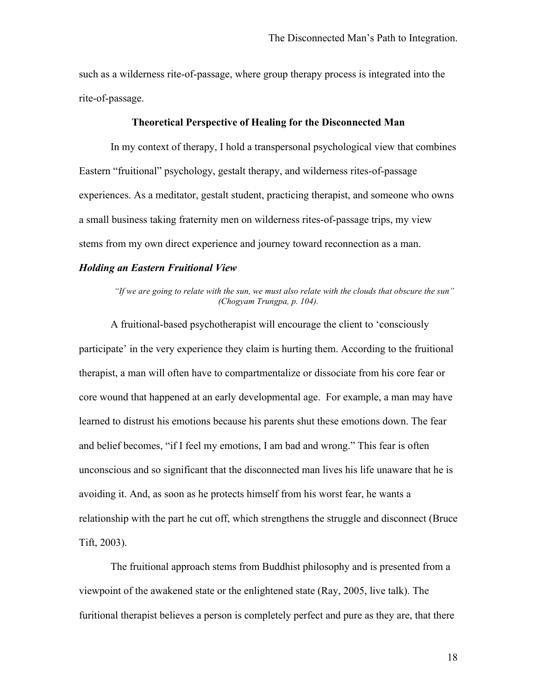such as a wilderness rite-of-passage, where group therapy process is integrated into the rite-of-passage.

#### **Theoretical Perspective of Healing for the Disconnected Man**

In my context of therapy, I hold a transpersonal psychological view that combines Eastern "fruitional" psychology, gestalt therapy, and wilderness rites-of-passage experiences. As a meditator, gestalt student, practicing therapist, and someone who owns a small business taking fraternity men on wilderness rites-of-passage trips, my view stems from my own direct experience and journey toward reconnection as a man.

# *Holding an Eastern Fruitional View*

*"If we are going to relate with the sun, we must also relate with the clouds that obscure the sun" (Chogyam Trungpa, p. 104).*

A fruitional-based psychotherapist will encourage the client to 'consciously participate' in the very experience they claim is hurting them. According to the fruitional therapist, a man will often have to compartmentalize or dissociate from his core fear or core wound that happened at an early developmental age. For example, a man may have learned to distrust his emotions because his parents shut these emotions down. The fear and belief becomes, "if I feel my emotions, I am bad and wrong." This fear is often unconscious and so significant that the disconnected man lives his life unaware that he is avoiding it. And, as soon as he protects himself from his worst fear, he wants a relationship with the part he cut off, which strengthens the struggle and disconnect (Bruce Tift, 2003).

The fruitional approach stems from Buddhist philosophy and is presented from a viewpoint of the awakened state or the enlightened state (Ray, 2005, live talk). The furitional therapist believes a person is completely perfect and pure as they are, that there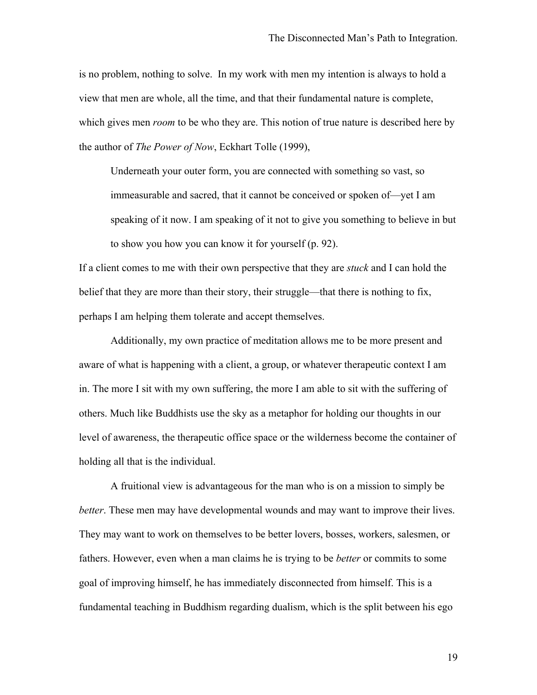is no problem, nothing to solve. In my work with men my intention is always to hold a view that men are whole, all the time, and that their fundamental nature is complete, which gives men *room* to be who they are. This notion of true nature is described here by the author of *The Power of Now*, Eckhart Tolle (1999),

Underneath your outer form, you are connected with something so vast, so immeasurable and sacred, that it cannot be conceived or spoken of—yet I am speaking of it now. I am speaking of it not to give you something to believe in but to show you how you can know it for yourself (p. 92).

If a client comes to me with their own perspective that they are *stuck* and I can hold the belief that they are more than their story, their struggle—that there is nothing to fix, perhaps I am helping them tolerate and accept themselves.

Additionally, my own practice of meditation allows me to be more present and aware of what is happening with a client, a group, or whatever therapeutic context I am in. The more I sit with my own suffering, the more I am able to sit with the suffering of others. Much like Buddhists use the sky as a metaphor for holding our thoughts in our level of awareness, the therapeutic office space or the wilderness become the container of holding all that is the individual.

A fruitional view is advantageous for the man who is on a mission to simply be *better*. These men may have developmental wounds and may want to improve their lives. They may want to work on themselves to be better lovers, bosses, workers, salesmen, or fathers. However, even when a man claims he is trying to be *better* or commits to some goal of improving himself, he has immediately disconnected from himself. This is a fundamental teaching in Buddhism regarding dualism, which is the split between his ego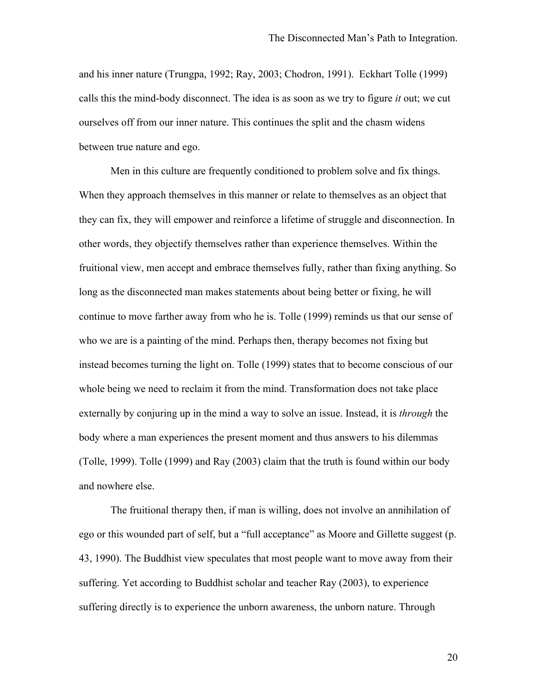and his inner nature (Trungpa, 1992; Ray, 2003; Chodron, 1991). Eckhart Tolle (1999) calls this the mind-body disconnect. The idea is as soon as we try to figure *it* out; we cut ourselves off from our inner nature. This continues the split and the chasm widens between true nature and ego.

Men in this culture are frequently conditioned to problem solve and fix things. When they approach themselves in this manner or relate to themselves as an object that they can fix, they will empower and reinforce a lifetime of struggle and disconnection. In other words, they objectify themselves rather than experience themselves. Within the fruitional view, men accept and embrace themselves fully, rather than fixing anything. So long as the disconnected man makes statements about being better or fixing, he will continue to move farther away from who he is. Tolle (1999) reminds us that our sense of who we are is a painting of the mind. Perhaps then, therapy becomes not fixing but instead becomes turning the light on. Tolle (1999) states that to become conscious of our whole being we need to reclaim it from the mind. Transformation does not take place externally by conjuring up in the mind a way to solve an issue. Instead, it is *through* the body where a man experiences the present moment and thus answers to his dilemmas (Tolle, 1999). Tolle (1999) and Ray (2003) claim that the truth is found within our body and nowhere else.

The fruitional therapy then, if man is willing, does not involve an annihilation of ego or this wounded part of self, but a "full acceptance" as Moore and Gillette suggest (p. 43, 1990). The Buddhist view speculates that most people want to move away from their suffering. Yet according to Buddhist scholar and teacher Ray (2003), to experience suffering directly is to experience the unborn awareness, the unborn nature. Through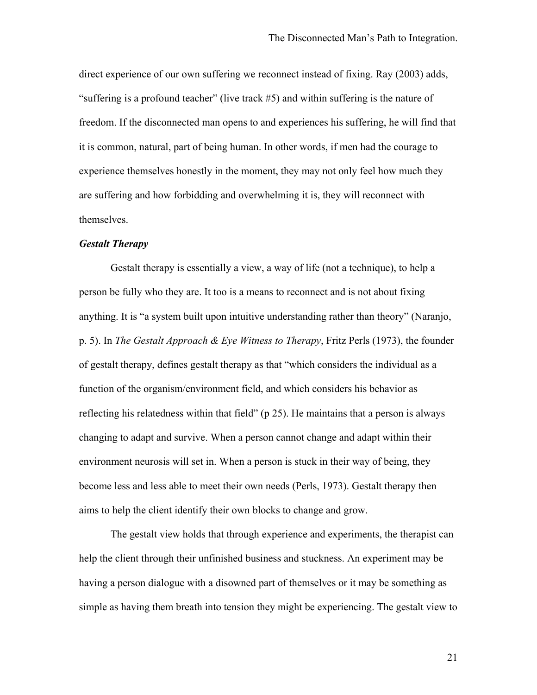direct experience of our own suffering we reconnect instead of fixing. Ray (2003) adds, "suffering is a profound teacher" (live track #5) and within suffering is the nature of freedom. If the disconnected man opens to and experiences his suffering, he will find that it is common, natural, part of being human. In other words, if men had the courage to experience themselves honestly in the moment, they may not only feel how much they are suffering and how forbidding and overwhelming it is, they will reconnect with themselves.

## *Gestalt Therapy*

Gestalt therapy is essentially a view, a way of life (not a technique), to help a person be fully who they are. It too is a means to reconnect and is not about fixing anything. It is "a system built upon intuitive understanding rather than theory" (Naranjo, p. 5). In *The Gestalt Approach & Eye Witness to Therapy*, Fritz Perls (1973), the founder of gestalt therapy, defines gestalt therapy as that "which considers the individual as a function of the organism/environment field, and which considers his behavior as reflecting his relatedness within that field" (p 25). He maintains that a person is always changing to adapt and survive. When a person cannot change and adapt within their environment neurosis will set in. When a person is stuck in their way of being, they become less and less able to meet their own needs (Perls, 1973). Gestalt therapy then aims to help the client identify their own blocks to change and grow.

The gestalt view holds that through experience and experiments, the therapist can help the client through their unfinished business and stuckness. An experiment may be having a person dialogue with a disowned part of themselves or it may be something as simple as having them breath into tension they might be experiencing. The gestalt view to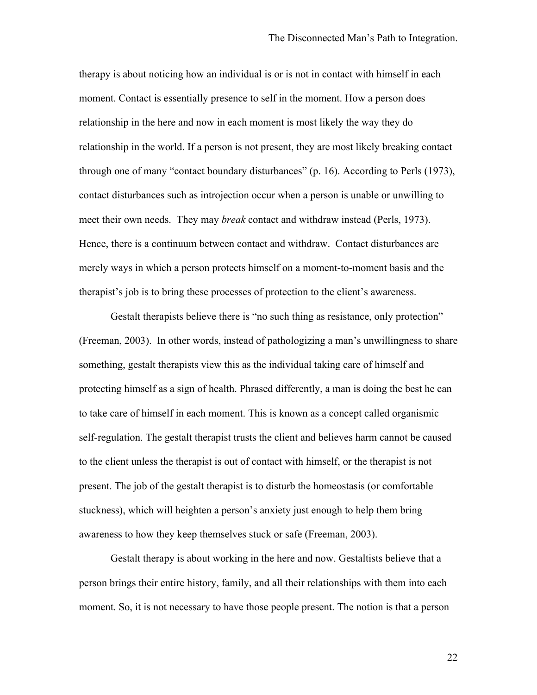therapy is about noticing how an individual is or is not in contact with himself in each moment. Contact is essentially presence to self in the moment. How a person does relationship in the here and now in each moment is most likely the way they do relationship in the world. If a person is not present, they are most likely breaking contact through one of many "contact boundary disturbances" (p. 16). According to Perls (1973), contact disturbances such as introjection occur when a person is unable or unwilling to meet their own needs. They may *break* contact and withdraw instead (Perls, 1973). Hence, there is a continuum between contact and withdraw. Contact disturbances are merely ways in which a person protects himself on a moment-to-moment basis and the therapist's job is to bring these processes of protection to the client's awareness.

Gestalt therapists believe there is "no such thing as resistance, only protection" (Freeman, 2003). In other words, instead of pathologizing a man's unwillingness to share something, gestalt therapists view this as the individual taking care of himself and protecting himself as a sign of health. Phrased differently, a man is doing the best he can to take care of himself in each moment. This is known as a concept called organismic self-regulation. The gestalt therapist trusts the client and believes harm cannot be caused to the client unless the therapist is out of contact with himself, or the therapist is not present. The job of the gestalt therapist is to disturb the homeostasis (or comfortable stuckness), which will heighten a person's anxiety just enough to help them bring awareness to how they keep themselves stuck or safe (Freeman, 2003).

Gestalt therapy is about working in the here and now. Gestaltists believe that a person brings their entire history, family, and all their relationships with them into each moment. So, it is not necessary to have those people present. The notion is that a person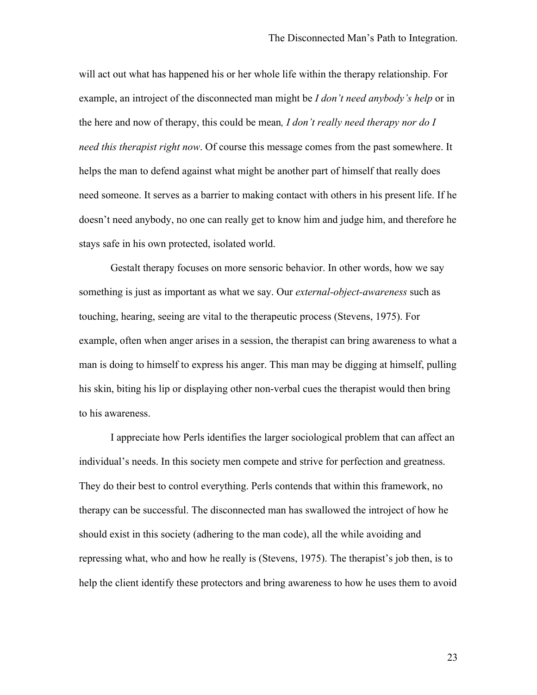will act out what has happened his or her whole life within the therapy relationship. For example, an introject of the disconnected man might be *I don't need anybody's help* or in the here and now of therapy, this could be mean*, I don't really need therapy nor do I need this therapist right now*. Of course this message comes from the past somewhere. It helps the man to defend against what might be another part of himself that really does need someone. It serves as a barrier to making contact with others in his present life. If he doesn't need anybody, no one can really get to know him and judge him, and therefore he stays safe in his own protected, isolated world.

Gestalt therapy focuses on more sensoric behavior. In other words, how we say something is just as important as what we say. Our *external-object-awareness* such as touching, hearing, seeing are vital to the therapeutic process (Stevens, 1975). For example, often when anger arises in a session, the therapist can bring awareness to what a man is doing to himself to express his anger. This man may be digging at himself, pulling his skin, biting his lip or displaying other non-verbal cues the therapist would then bring to his awareness.

I appreciate how Perls identifies the larger sociological problem that can affect an individual's needs. In this society men compete and strive for perfection and greatness. They do their best to control everything. Perls contends that within this framework, no therapy can be successful. The disconnected man has swallowed the introject of how he should exist in this society (adhering to the man code), all the while avoiding and repressing what, who and how he really is (Stevens, 1975). The therapist's job then, is to help the client identify these protectors and bring awareness to how he uses them to avoid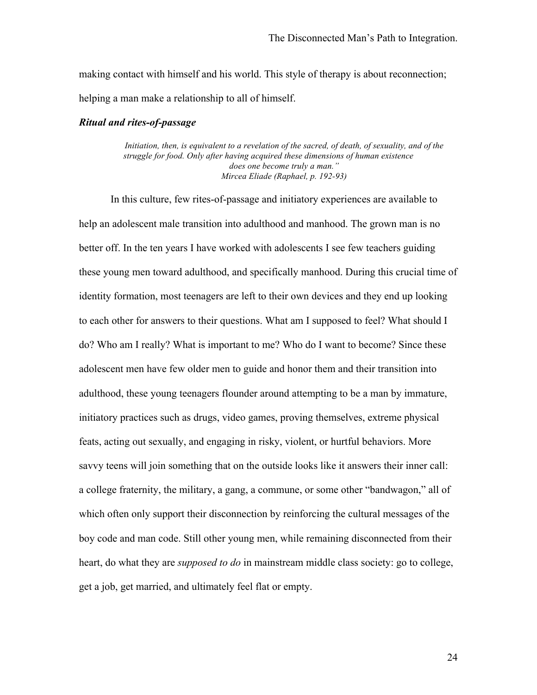making contact with himself and his world. This style of therapy is about reconnection; helping a man make a relationship to all of himself.

## *Ritual and rites-of-passage*

*Initiation, then, is equivalent to a revelation of the sacred, of death, of sexuality, and of the struggle for food. Only after having acquired these dimensions of human existence does one become truly a man." Mircea Eliade (Raphael, p. 192-93)*

In this culture, few rites-of-passage and initiatory experiences are available to help an adolescent male transition into adulthood and manhood. The grown man is no better off. In the ten years I have worked with adolescents I see few teachers guiding these young men toward adulthood, and specifically manhood. During this crucial time of identity formation, most teenagers are left to their own devices and they end up looking to each other for answers to their questions. What am I supposed to feel? What should I do? Who am I really? What is important to me? Who do I want to become? Since these adolescent men have few older men to guide and honor them and their transition into adulthood, these young teenagers flounder around attempting to be a man by immature, initiatory practices such as drugs, video games, proving themselves, extreme physical feats, acting out sexually, and engaging in risky, violent, or hurtful behaviors. More savvy teens will join something that on the outside looks like it answers their inner call: a college fraternity, the military, a gang, a commune, or some other "bandwagon," all of which often only support their disconnection by reinforcing the cultural messages of the boy code and man code. Still other young men, while remaining disconnected from their heart, do what they are *supposed to do* in mainstream middle class society: go to college, get a job, get married, and ultimately feel flat or empty.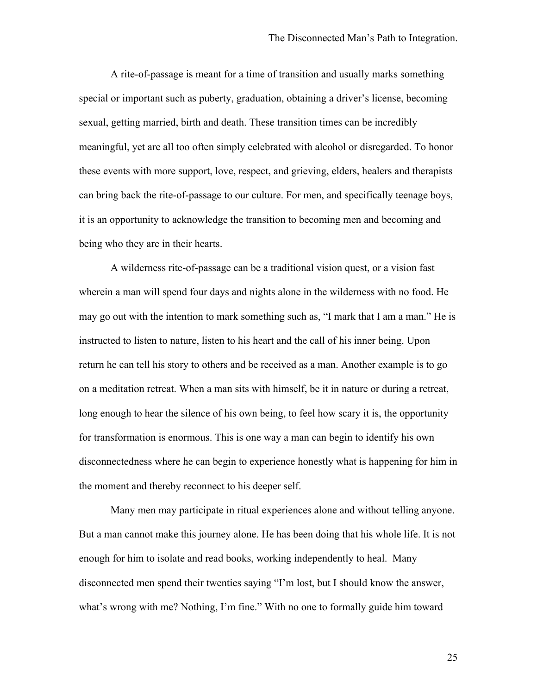A rite-of-passage is meant for a time of transition and usually marks something special or important such as puberty, graduation, obtaining a driver's license, becoming sexual, getting married, birth and death. These transition times can be incredibly meaningful, yet are all too often simply celebrated with alcohol or disregarded. To honor these events with more support, love, respect, and grieving, elders, healers and therapists can bring back the rite-of-passage to our culture. For men, and specifically teenage boys, it is an opportunity to acknowledge the transition to becoming men and becoming and being who they are in their hearts.

A wilderness rite-of-passage can be a traditional vision quest, or a vision fast wherein a man will spend four days and nights alone in the wilderness with no food. He may go out with the intention to mark something such as, "I mark that I am a man." He is instructed to listen to nature, listen to his heart and the call of his inner being. Upon return he can tell his story to others and be received as a man. Another example is to go on a meditation retreat. When a man sits with himself, be it in nature or during a retreat, long enough to hear the silence of his own being, to feel how scary it is, the opportunity for transformation is enormous. This is one way a man can begin to identify his own disconnectedness where he can begin to experience honestly what is happening for him in the moment and thereby reconnect to his deeper self.

Many men may participate in ritual experiences alone and without telling anyone. But a man cannot make this journey alone. He has been doing that his whole life. It is not enough for him to isolate and read books, working independently to heal. Many disconnected men spend their twenties saying "I'm lost, but I should know the answer, what's wrong with me? Nothing, I'm fine." With no one to formally guide him toward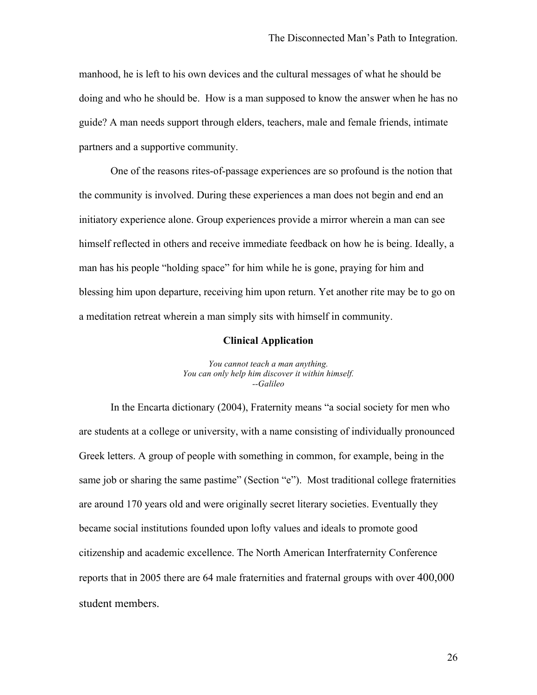manhood, he is left to his own devices and the cultural messages of what he should be doing and who he should be. How is a man supposed to know the answer when he has no guide? A man needs support through elders, teachers, male and female friends, intimate partners and a supportive community.

One of the reasons rites-of-passage experiences are so profound is the notion that the community is involved. During these experiences a man does not begin and end an initiatory experience alone. Group experiences provide a mirror wherein a man can see himself reflected in others and receive immediate feedback on how he is being. Ideally, a man has his people "holding space" for him while he is gone, praying for him and blessing him upon departure, receiving him upon return. Yet another rite may be to go on a meditation retreat wherein a man simply sits with himself in community.

#### **Clinical Application**

*You cannot teach a man anything. You can only help him discover it within himself. --Galileo*

In the Encarta dictionary (2004), Fraternity means "a social society for men who are students at a college or university, with a name consisting of individually pronounced Greek letters. A group of people with something in common, for example, being in the same job or sharing the same pastime" (Section "e"). Most traditional college fraternities are around 170 years old and were originally secret literary societies. Eventually they became social institutions founded upon lofty values and ideals to promote good citizenship and academic excellence. The North American Interfraternity Conference reports that in 2005 there are 64 male fraternities and fraternal groups with over 400,000 student members.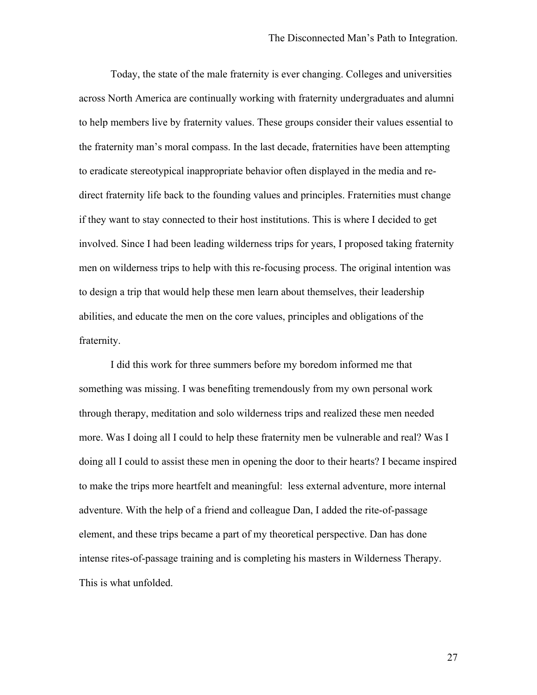Today, the state of the male fraternity is ever changing. Colleges and universities across North America are continually working with fraternity undergraduates and alumni to help members live by fraternity values. These groups consider their values essential to the fraternity man's moral compass. In the last decade, fraternities have been attempting to eradicate stereotypical inappropriate behavior often displayed in the media and redirect fraternity life back to the founding values and principles. Fraternities must change if they want to stay connected to their host institutions. This is where I decided to get involved. Since I had been leading wilderness trips for years, I proposed taking fraternity men on wilderness trips to help with this re-focusing process. The original intention was to design a trip that would help these men learn about themselves, their leadership abilities, and educate the men on the core values, principles and obligations of the fraternity.

I did this work for three summers before my boredom informed me that something was missing. I was benefiting tremendously from my own personal work through therapy, meditation and solo wilderness trips and realized these men needed more. Was I doing all I could to help these fraternity men be vulnerable and real? Was I doing all I could to assist these men in opening the door to their hearts? I became inspired to make the trips more heartfelt and meaningful: less external adventure, more internal adventure. With the help of a friend and colleague Dan, I added the rite-of-passage element, and these trips became a part of my theoretical perspective. Dan has done intense rites-of-passage training and is completing his masters in Wilderness Therapy. This is what unfolded.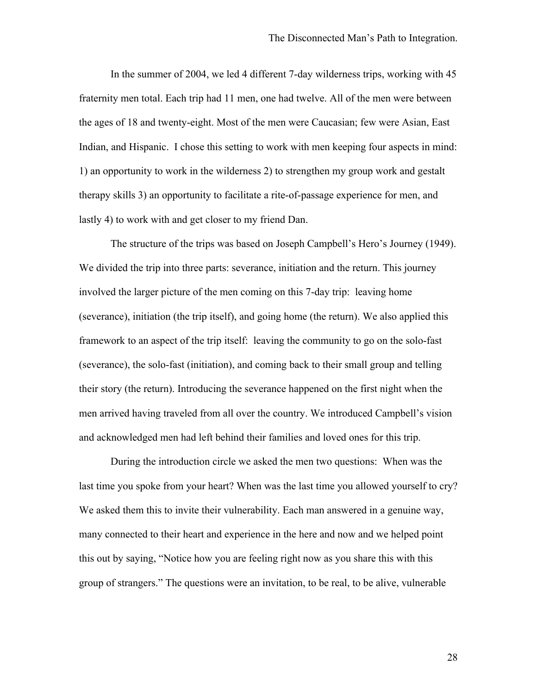In the summer of 2004, we led 4 different 7-day wilderness trips, working with 45 fraternity men total. Each trip had 11 men, one had twelve. All of the men were between the ages of 18 and twenty-eight. Most of the men were Caucasian; few were Asian, East Indian, and Hispanic. I chose this setting to work with men keeping four aspects in mind: 1) an opportunity to work in the wilderness 2) to strengthen my group work and gestalt therapy skills 3) an opportunity to facilitate a rite-of-passage experience for men, and lastly 4) to work with and get closer to my friend Dan.

The structure of the trips was based on Joseph Campbell's Hero's Journey (1949). We divided the trip into three parts: severance, initiation and the return. This journey involved the larger picture of the men coming on this 7-day trip: leaving home (severance), initiation (the trip itself), and going home (the return). We also applied this framework to an aspect of the trip itself: leaving the community to go on the solo-fast (severance), the solo-fast (initiation), and coming back to their small group and telling their story (the return). Introducing the severance happened on the first night when the men arrived having traveled from all over the country. We introduced Campbell's vision and acknowledged men had left behind their families and loved ones for this trip.

During the introduction circle we asked the men two questions: When was the last time you spoke from your heart? When was the last time you allowed yourself to cry? We asked them this to invite their vulnerability. Each man answered in a genuine way, many connected to their heart and experience in the here and now and we helped point this out by saying, "Notice how you are feeling right now as you share this with this group of strangers." The questions were an invitation, to be real, to be alive, vulnerable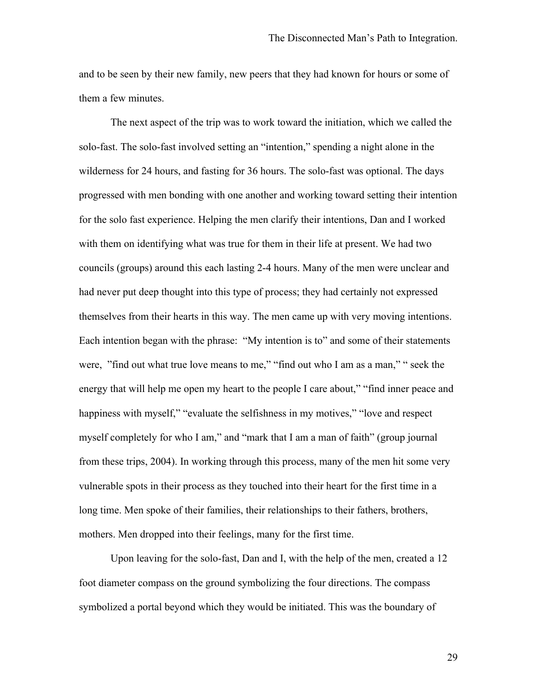and to be seen by their new family, new peers that they had known for hours or some of them a few minutes.

The next aspect of the trip was to work toward the initiation, which we called the solo-fast. The solo-fast involved setting an "intention," spending a night alone in the wilderness for 24 hours, and fasting for 36 hours. The solo-fast was optional. The days progressed with men bonding with one another and working toward setting their intention for the solo fast experience. Helping the men clarify their intentions, Dan and I worked with them on identifying what was true for them in their life at present. We had two councils (groups) around this each lasting 2-4 hours. Many of the men were unclear and had never put deep thought into this type of process; they had certainly not expressed themselves from their hearts in this way. The men came up with very moving intentions. Each intention began with the phrase: "My intention is to" and some of their statements were, "find out what true love means to me," "find out who I am as a man," " seek the energy that will help me open my heart to the people I care about," "find inner peace and happiness with myself," "evaluate the selfishness in my motives," "love and respect myself completely for who I am," and "mark that I am a man of faith" (group journal from these trips, 2004). In working through this process, many of the men hit some very vulnerable spots in their process as they touched into their heart for the first time in a long time. Men spoke of their families, their relationships to their fathers, brothers, mothers. Men dropped into their feelings, many for the first time.

Upon leaving for the solo-fast, Dan and I, with the help of the men, created a 12 foot diameter compass on the ground symbolizing the four directions. The compass symbolized a portal beyond which they would be initiated. This was the boundary of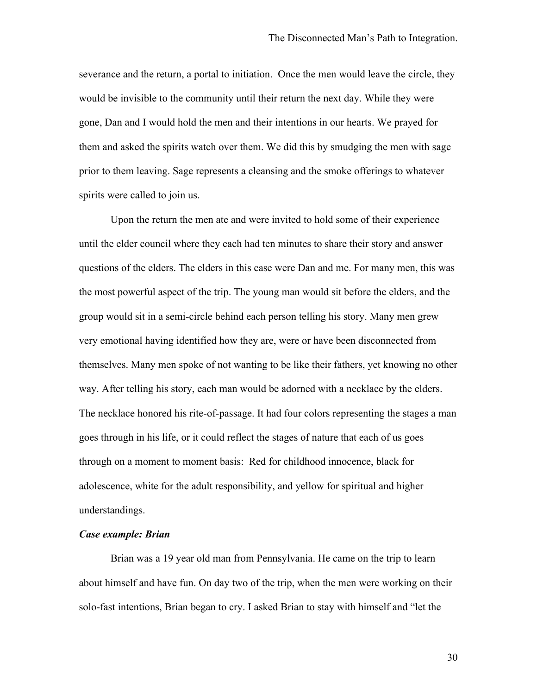severance and the return, a portal to initiation. Once the men would leave the circle, they would be invisible to the community until their return the next day. While they were gone, Dan and I would hold the men and their intentions in our hearts. We prayed for them and asked the spirits watch over them. We did this by smudging the men with sage prior to them leaving. Sage represents a cleansing and the smoke offerings to whatever spirits were called to join us.

Upon the return the men ate and were invited to hold some of their experience until the elder council where they each had ten minutes to share their story and answer questions of the elders. The elders in this case were Dan and me. For many men, this was the most powerful aspect of the trip. The young man would sit before the elders, and the group would sit in a semi-circle behind each person telling his story. Many men grew very emotional having identified how they are, were or have been disconnected from themselves. Many men spoke of not wanting to be like their fathers, yet knowing no other way. After telling his story, each man would be adorned with a necklace by the elders. The necklace honored his rite-of-passage. It had four colors representing the stages a man goes through in his life, or it could reflect the stages of nature that each of us goes through on a moment to moment basis: Red for childhood innocence, black for adolescence, white for the adult responsibility, and yellow for spiritual and higher understandings.

# *Case example: Brian*

Brian was a 19 year old man from Pennsylvania. He came on the trip to learn about himself and have fun. On day two of the trip, when the men were working on their solo-fast intentions, Brian began to cry. I asked Brian to stay with himself and "let the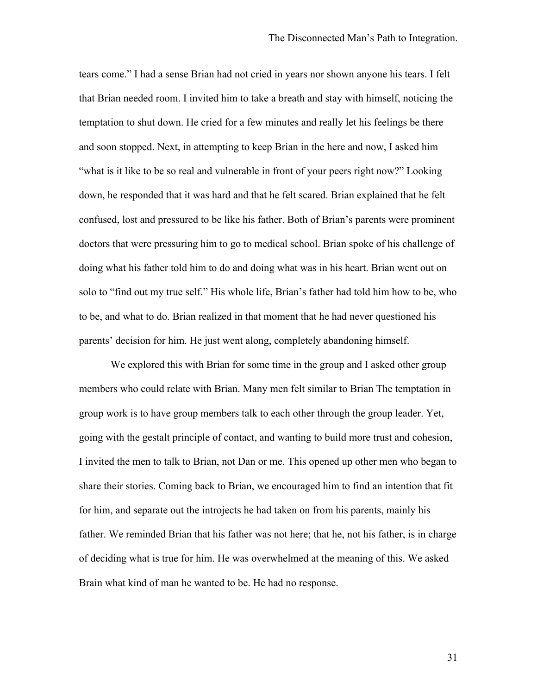tears come." I had a sense Brian had not cried in years nor shown anyone his tears. I felt that Brian needed room. I invited him to take a breath and stay with himself, noticing the temptation to shut down. He cried for a few minutes and really let his feelings be there and soon stopped. Next, in attempting to keep Brian in the here and now, I asked him "what is it like to be so real and vulnerable in front of your peers right now?" Looking down, he responded that it was hard and that he felt scared. Brian explained that he felt confused, lost and pressured to be like his father. Both of Brian's parents were prominent doctors that were pressuring him to go to medical school. Brian spoke of his challenge of doing what his father told him to do and doing what was in his heart. Brian went out on solo to "find out my true self." His whole life, Brian's father had told him how to be, who to be, and what to do. Brian realized in that moment that he had never questioned his parents' decision for him. He just went along, completely abandoning himself.

We explored this with Brian for some time in the group and I asked other group members who could relate with Brian. Many men felt similar to Brian The temptation in group work is to have group members talk to each other through the group leader. Yet, going with the gestalt principle of contact, and wanting to build more trust and cohesion, I invited the men to talk to Brian, not Dan or me. This opened up other men who began to share their stories. Coming back to Brian, we encouraged him to find an intention that fit for him, and separate out the introjects he had taken on from his parents, mainly his father. We reminded Brian that his father was not here; that he, not his father, is in charge of deciding what is true for him. He was overwhelmed at the meaning of this. We asked Brain what kind of man he wanted to be. He had no response.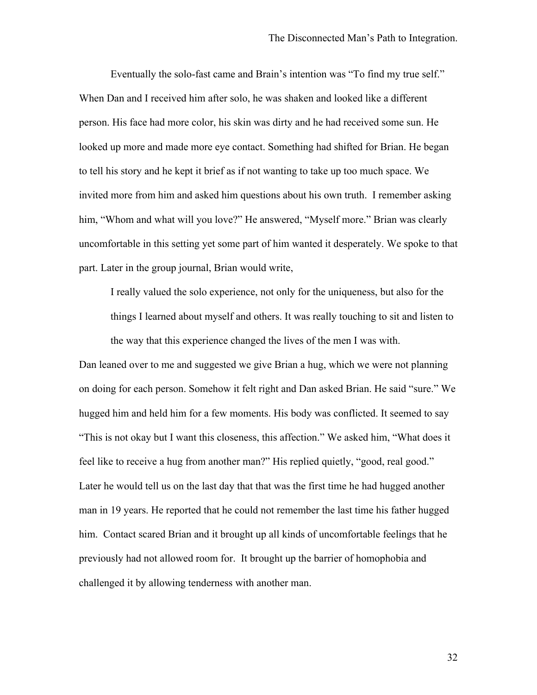Eventually the solo-fast came and Brain's intention was "To find my true self." When Dan and I received him after solo, he was shaken and looked like a different person. His face had more color, his skin was dirty and he had received some sun. He looked up more and made more eye contact. Something had shifted for Brian. He began to tell his story and he kept it brief as if not wanting to take up too much space. We invited more from him and asked him questions about his own truth. I remember asking him, "Whom and what will you love?" He answered, "Myself more." Brian was clearly uncomfortable in this setting yet some part of him wanted it desperately. We spoke to that part. Later in the group journal, Brian would write,

I really valued the solo experience, not only for the uniqueness, but also for the things I learned about myself and others. It was really touching to sit and listen to the way that this experience changed the lives of the men I was with.

Dan leaned over to me and suggested we give Brian a hug, which we were not planning on doing for each person. Somehow it felt right and Dan asked Brian. He said "sure." We hugged him and held him for a few moments. His body was conflicted. It seemed to say "This is not okay but I want this closeness, this affection." We asked him, "What does it feel like to receive a hug from another man?" His replied quietly, "good, real good." Later he would tell us on the last day that that was the first time he had hugged another man in 19 years. He reported that he could not remember the last time his father hugged him. Contact scared Brian and it brought up all kinds of uncomfortable feelings that he previously had not allowed room for. It brought up the barrier of homophobia and challenged it by allowing tenderness with another man.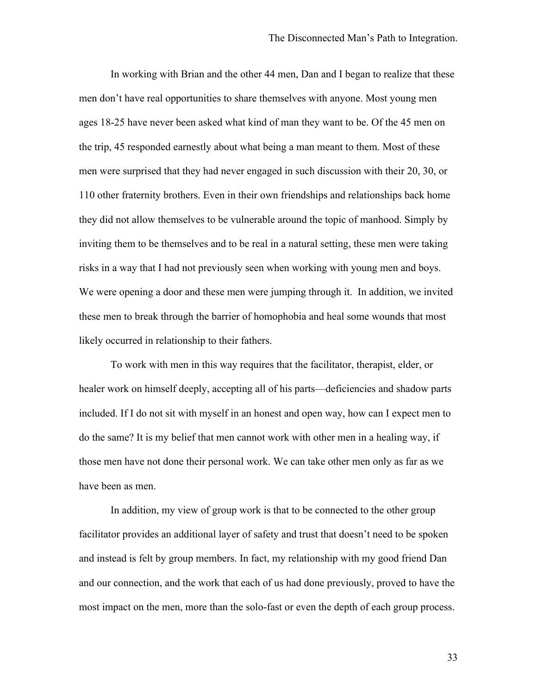In working with Brian and the other 44 men, Dan and I began to realize that these men don't have real opportunities to share themselves with anyone. Most young men ages 18-25 have never been asked what kind of man they want to be. Of the 45 men on the trip, 45 responded earnestly about what being a man meant to them. Most of these men were surprised that they had never engaged in such discussion with their 20, 30, or 110 other fraternity brothers. Even in their own friendships and relationships back home they did not allow themselves to be vulnerable around the topic of manhood. Simply by inviting them to be themselves and to be real in a natural setting, these men were taking risks in a way that I had not previously seen when working with young men and boys. We were opening a door and these men were jumping through it. In addition, we invited these men to break through the barrier of homophobia and heal some wounds that most likely occurred in relationship to their fathers.

To work with men in this way requires that the facilitator, therapist, elder, or healer work on himself deeply, accepting all of his parts—deficiencies and shadow parts included. If I do not sit with myself in an honest and open way, how can I expect men to do the same? It is my belief that men cannot work with other men in a healing way, if those men have not done their personal work. We can take other men only as far as we have been as men.

In addition, my view of group work is that to be connected to the other group facilitator provides an additional layer of safety and trust that doesn't need to be spoken and instead is felt by group members. In fact, my relationship with my good friend Dan and our connection, and the work that each of us had done previously, proved to have the most impact on the men, more than the solo-fast or even the depth of each group process.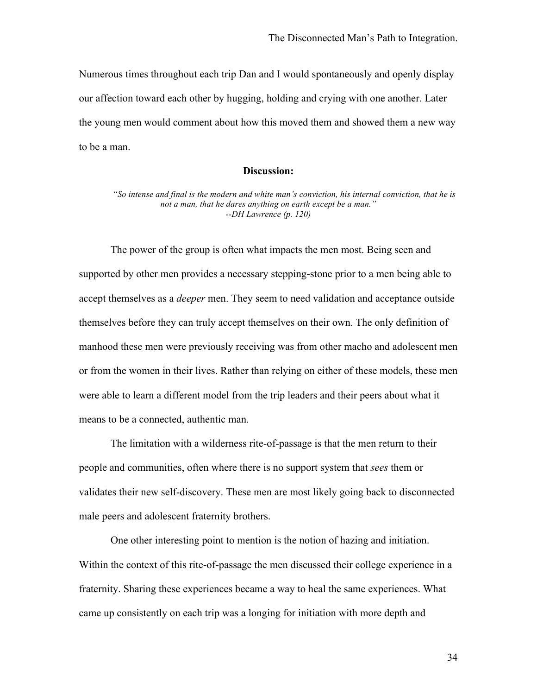Numerous times throughout each trip Dan and I would spontaneously and openly display our affection toward each other by hugging, holding and crying with one another. Later the young men would comment about how this moved them and showed them a new way to be a man.

# **Discussion:**

*"So intense and final is the modern and white man's conviction, his internal conviction, that he is not a man, that he dares anything on earth except be a man." --DH Lawrence (p. 120)*

The power of the group is often what impacts the men most. Being seen and supported by other men provides a necessary stepping-stone prior to a men being able to accept themselves as a *deeper* men. They seem to need validation and acceptance outside themselves before they can truly accept themselves on their own. The only definition of manhood these men were previously receiving was from other macho and adolescent men or from the women in their lives. Rather than relying on either of these models, these men were able to learn a different model from the trip leaders and their peers about what it means to be a connected, authentic man.

The limitation with a wilderness rite-of-passage is that the men return to their people and communities, often where there is no support system that *sees* them or validates their new self-discovery. These men are most likely going back to disconnected male peers and adolescent fraternity brothers.

One other interesting point to mention is the notion of hazing and initiation. Within the context of this rite-of-passage the men discussed their college experience in a fraternity. Sharing these experiences became a way to heal the same experiences. What came up consistently on each trip was a longing for initiation with more depth and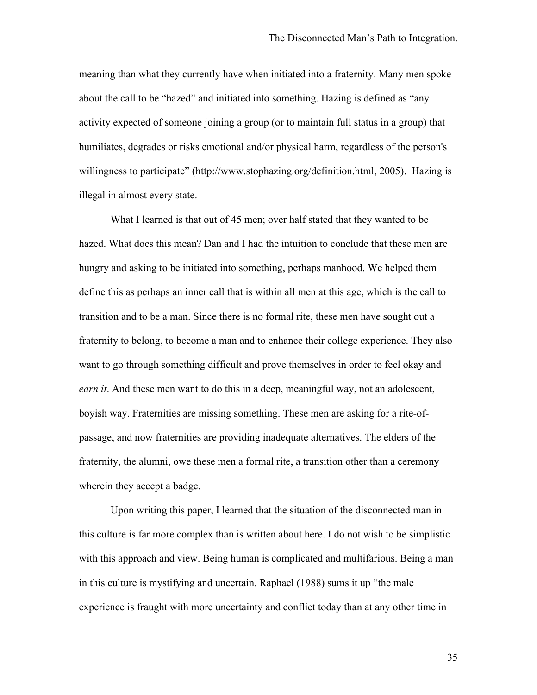meaning than what they currently have when initiated into a fraternity. Many men spoke about the call to be "hazed" and initiated into something. Hazing is defined as "any activity expected of someone joining a group (or to maintain full status in a group) that humiliates, degrades or risks emotional and/or physical harm, regardless of the person's willingness to participate" (http://www.stophazing.org/definition.html, 2005). Hazing is illegal in almost every state.

What I learned is that out of 45 men; over half stated that they wanted to be hazed. What does this mean? Dan and I had the intuition to conclude that these men are hungry and asking to be initiated into something, perhaps manhood. We helped them define this as perhaps an inner call that is within all men at this age, which is the call to transition and to be a man. Since there is no formal rite, these men have sought out a fraternity to belong, to become a man and to enhance their college experience. They also want to go through something difficult and prove themselves in order to feel okay and *earn it*. And these men want to do this in a deep, meaningful way, not an adolescent, boyish way. Fraternities are missing something. These men are asking for a rite-ofpassage, and now fraternities are providing inadequate alternatives. The elders of the fraternity, the alumni, owe these men a formal rite, a transition other than a ceremony wherein they accept a badge.

Upon writing this paper, I learned that the situation of the disconnected man in this culture is far more complex than is written about here. I do not wish to be simplistic with this approach and view. Being human is complicated and multifarious. Being a man in this culture is mystifying and uncertain. Raphael (1988) sums it up "the male experience is fraught with more uncertainty and conflict today than at any other time in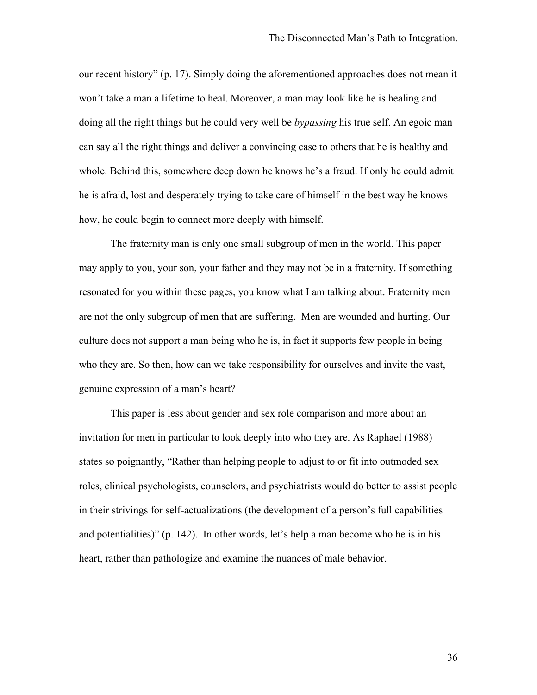our recent history" (p. 17). Simply doing the aforementioned approaches does not mean it won't take a man a lifetime to heal. Moreover, a man may look like he is healing and doing all the right things but he could very well be *bypassing* his true self. An egoic man can say all the right things and deliver a convincing case to others that he is healthy and whole. Behind this, somewhere deep down he knows he's a fraud. If only he could admit he is afraid, lost and desperately trying to take care of himself in the best way he knows how, he could begin to connect more deeply with himself.

The fraternity man is only one small subgroup of men in the world. This paper may apply to you, your son, your father and they may not be in a fraternity. If something resonated for you within these pages, you know what I am talking about. Fraternity men are not the only subgroup of men that are suffering. Men are wounded and hurting. Our culture does not support a man being who he is, in fact it supports few people in being who they are. So then, how can we take responsibility for ourselves and invite the vast, genuine expression of a man's heart?

This paper is less about gender and sex role comparison and more about an invitation for men in particular to look deeply into who they are. As Raphael (1988) states so poignantly, "Rather than helping people to adjust to or fit into outmoded sex roles, clinical psychologists, counselors, and psychiatrists would do better to assist people in their strivings for self-actualizations (the development of a person's full capabilities and potentialities)" (p. 142). In other words, let's help a man become who he is in his heart, rather than pathologize and examine the nuances of male behavior.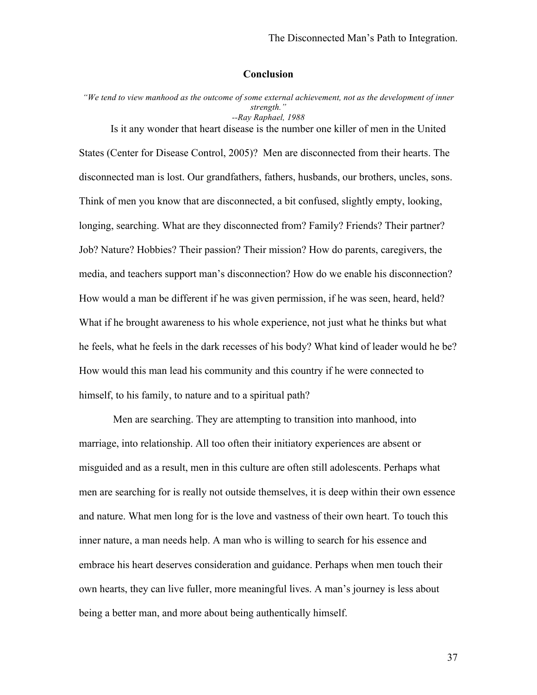# **Conclusion**

*"We tend to view manhood as the outcome of some external achievement, not as the development of inner strength." --Ray Raphael, 1988*

Is it any wonder that heart disease is the number one killer of men in the United States (Center for Disease Control, 2005)? Men are disconnected from their hearts. The disconnected man is lost. Our grandfathers, fathers, husbands, our brothers, uncles, sons. Think of men you know that are disconnected, a bit confused, slightly empty, looking, longing, searching. What are they disconnected from? Family? Friends? Their partner? Job? Nature? Hobbies? Their passion? Their mission? How do parents, caregivers, the media, and teachers support man's disconnection? How do we enable his disconnection? How would a man be different if he was given permission, if he was seen, heard, held? What if he brought awareness to his whole experience, not just what he thinks but what he feels, what he feels in the dark recesses of his body? What kind of leader would he be? How would this man lead his community and this country if he were connected to himself, to his family, to nature and to a spiritual path?

 Men are searching. They are attempting to transition into manhood, into marriage, into relationship. All too often their initiatory experiences are absent or misguided and as a result, men in this culture are often still adolescents. Perhaps what men are searching for is really not outside themselves, it is deep within their own essence and nature. What men long for is the love and vastness of their own heart. To touch this inner nature, a man needs help. A man who is willing to search for his essence and embrace his heart deserves consideration and guidance. Perhaps when men touch their own hearts, they can live fuller, more meaningful lives. A man's journey is less about being a better man, and more about being authentically himself.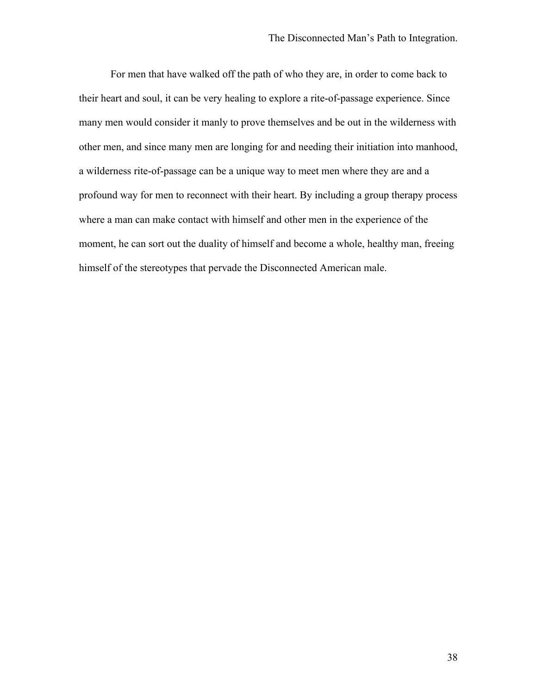For men that have walked off the path of who they are, in order to come back to their heart and soul, it can be very healing to explore a rite-of-passage experience. Since many men would consider it manly to prove themselves and be out in the wilderness with other men, and since many men are longing for and needing their initiation into manhood, a wilderness rite-of-passage can be a unique way to meet men where they are and a profound way for men to reconnect with their heart. By including a group therapy process where a man can make contact with himself and other men in the experience of the moment, he can sort out the duality of himself and become a whole, healthy man, freeing himself of the stereotypes that pervade the Disconnected American male.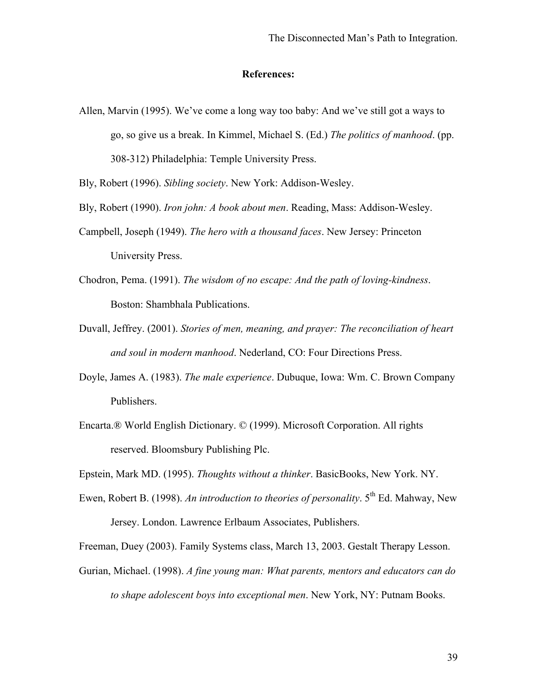#### **References:**

Allen, Marvin (1995). We've come a long way too baby: And we've still got a ways to go, so give us a break. In Kimmel, Michael S. (Ed.) *The politics of manhood*. (pp. 308-312) Philadelphia: Temple University Press.

Bly, Robert (1996). *Sibling society*. New York: Addison-Wesley.

Bly, Robert (1990). *Iron john: A book about men*. Reading, Mass: Addison-Wesley.

- Campbell, Joseph (1949). *The hero with a thousand faces*. New Jersey: Princeton University Press.
- Chodron, Pema. (1991). *The wisdom of no escape: And the path of loving-kindness*. Boston: Shambhala Publications.
- Duvall, Jeffrey. (2001). *Stories of men, meaning, and prayer: The reconciliation of heart and soul in modern manhood*. Nederland, CO: Four Directions Press.
- Doyle, James A. (1983). *The male experience*. Dubuque, Iowa: Wm. C. Brown Company Publishers.
- Encarta.® World English Dictionary. © (1999). Microsoft Corporation. All rights reserved. Bloomsbury Publishing Plc.

Epstein, Mark MD. (1995). *Thoughts without a thinker*. BasicBooks, New York. NY.

Ewen, Robert B. (1998). An introduction to theories of personality. 5<sup>th</sup> Ed. Mahway, New Jersey. London. Lawrence Erlbaum Associates, Publishers.

Freeman, Duey (2003). Family Systems class, March 13, 2003. Gestalt Therapy Lesson.

Gurian, Michael. (1998). *A fine young man: What parents, mentors and educators can do to shape adolescent boys into exceptional men*. New York, NY: Putnam Books.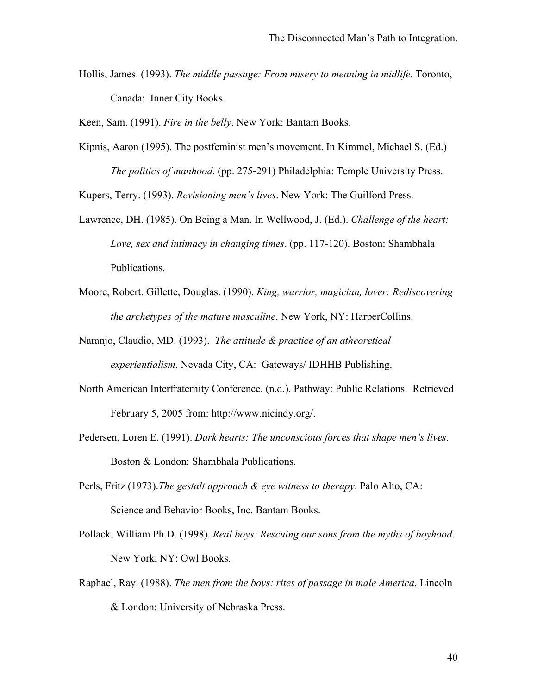Hollis, James. (1993). *The middle passage: From misery to meaning in midlife*. Toronto, Canada: Inner City Books.

Keen, Sam. (1991). *Fire in the belly*. New York: Bantam Books.

Kipnis, Aaron (1995). The postfeminist men's movement. In Kimmel, Michael S. (Ed.) *The politics of manhood*. (pp. 275-291) Philadelphia: Temple University Press.

Kupers, Terry. (1993). *Revisioning men's lives*. New York: The Guilford Press.

- Lawrence, DH. (1985). On Being a Man. In Wellwood, J. (Ed.). *Challenge of the heart: Love, sex and intimacy in changing times*. (pp. 117-120). Boston: Shambhala Publications.
- Moore, Robert. Gillette, Douglas. (1990). *King, warrior, magician, lover: Rediscovering the archetypes of the mature masculine*. New York, NY: HarperCollins.
- Naranjo, Claudio, MD. (1993). *The attitude & practice of an atheoretical experientialism*. Nevada City, CA: Gateways/ IDHHB Publishing.
- North American Interfraternity Conference. (n.d.). Pathway: Public Relations. Retrieved February 5, 2005 from: http://www.nicindy.org/.
- Pedersen, Loren E. (1991). *Dark hearts: The unconscious forces that shape men's lives*. Boston & London: Shambhala Publications.
- Perls, Fritz (1973).*The gestalt approach & eye witness to therapy*. Palo Alto, CA: Science and Behavior Books, Inc. Bantam Books.
- Pollack, William Ph.D. (1998). *Real boys: Rescuing our sons from the myths of boyhood*. New York, NY: Owl Books.
- Raphael, Ray. (1988). *The men from the boys: rites of passage in male America*. Lincoln & London: University of Nebraska Press.